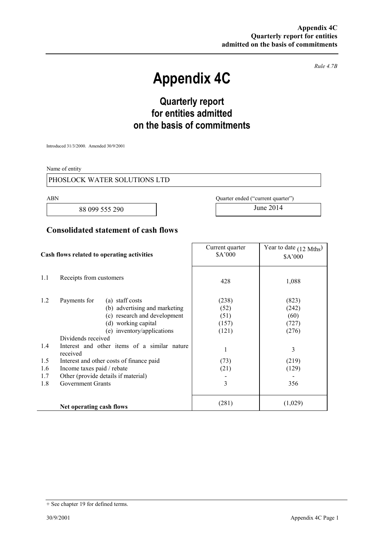*Rule 4.7B* 

# **Appendix 4C**

# **Quarterly report for entities admitted on the basis of commitments**

Introduced 31/3/2000. Amended 30/9/2001

Name of entity

#### PHOSLOCK WATER SOLUTIONS LTD

88 099 555 290 June 2014

ABN Quarter ended ("current quarter")

### **Consolidated statement of cash flows**

| Cash flows related to operating activities |                                                                                                                                                                                                                                                                                                                                                                                      | Current quarter<br>\$A'000                                        | Year to date $(12 \text{ Mths})$<br>\$A'000                            |
|--------------------------------------------|--------------------------------------------------------------------------------------------------------------------------------------------------------------------------------------------------------------------------------------------------------------------------------------------------------------------------------------------------------------------------------------|-------------------------------------------------------------------|------------------------------------------------------------------------|
| 1.1                                        | Receipts from customers                                                                                                                                                                                                                                                                                                                                                              | 428                                                               | 1,088                                                                  |
| 1.2<br>1.4<br>1.5<br>1.6<br>1.7<br>1.8     | Payments for<br>(a) staff costs<br>(b) advertising and marketing<br>(c) research and development<br>(d) working capital<br>(e) inventory/applications<br>Dividends received<br>Interest and other items of a similar nature<br>received<br>Interest and other costs of finance paid<br>Income taxes paid / rebate<br>Other (provide details if material)<br><b>Government Grants</b> | (238)<br>(52)<br>(51)<br>(157)<br>(121)<br>1<br>(73)<br>(21)<br>3 | (823)<br>(242)<br>(60)<br>(727)<br>(276)<br>3<br>(219)<br>(129)<br>356 |
|                                            | Net operating cash flows                                                                                                                                                                                                                                                                                                                                                             | (281)                                                             | (1,029)                                                                |

<sup>+</sup> See chapter 19 for defined terms.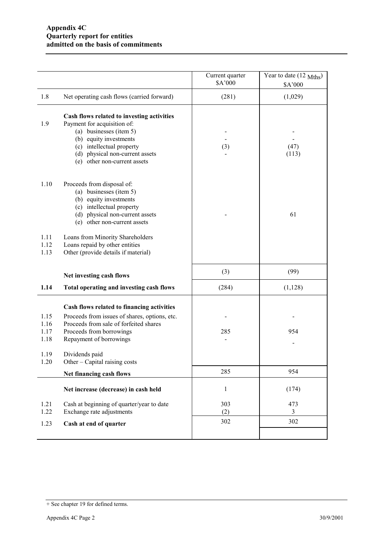|                              |                                                                                                                                                                                                                                | Current quarter<br>\$A'000 | Year to date $(12 \text{ Mths})$<br>\$A'000 |
|------------------------------|--------------------------------------------------------------------------------------------------------------------------------------------------------------------------------------------------------------------------------|----------------------------|---------------------------------------------|
| 1.8                          | Net operating cash flows (carried forward)                                                                                                                                                                                     | (281)                      | (1,029)                                     |
| 1.9                          | Cash flows related to investing activities<br>Payment for acquisition of:<br>(a) businesses (item 5)<br>(b) equity investments<br>(c) intellectual property<br>(d) physical non-current assets<br>(e) other non-current assets | (3)                        | (47)<br>(113)                               |
| 1.10                         | Proceeds from disposal of:<br>(a) businesses (item 5)<br>(b) equity investments<br>(c) intellectual property<br>(d) physical non-current assets<br>(e) other non-current assets                                                |                            | 61                                          |
| 1.11<br>1.12<br>1.13         | Loans from Minority Shareholders<br>Loans repaid by other entities<br>Other (provide details if material)                                                                                                                      |                            |                                             |
|                              | Net investing cash flows                                                                                                                                                                                                       | (3)                        | (99)                                        |
| 1.14                         | Total operating and investing cash flows                                                                                                                                                                                       | (284)                      | (1,128)                                     |
| 1.15<br>1.16<br>1.17<br>1.18 | Cash flows related to financing activities<br>Proceeds from issues of shares, options, etc.<br>Proceeds from sale of forfeited shares<br>Proceeds from borrowings<br>Repayment of borrowings                                   | 285                        | 954                                         |
| 1.19<br>1.20                 | Dividends paid<br>Other – Capital raising costs                                                                                                                                                                                |                            |                                             |
|                              | Net financing cash flows                                                                                                                                                                                                       | 285                        | 954                                         |
|                              | Net increase (decrease) in cash held                                                                                                                                                                                           | $\mathbf{1}$               | (174)                                       |
| 1.21<br>1.22                 | Cash at beginning of quarter/year to date<br>Exchange rate adjustments                                                                                                                                                         | 303<br>(2)                 | 473<br>3                                    |
| 1.23                         | Cash at end of quarter                                                                                                                                                                                                         | 302                        | 302                                         |
|                              |                                                                                                                                                                                                                                |                            |                                             |

<sup>+</sup> See chapter 19 for defined terms.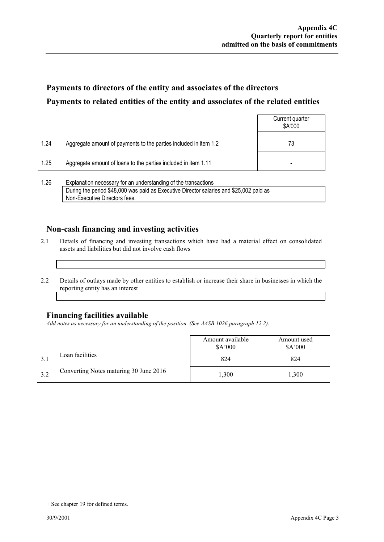# **Payments to directors of the entity and associates of the directors Payments to related entities of the entity and associates of the related entities**

|      |                                                                  | Current quarter<br>\$A'000 |
|------|------------------------------------------------------------------|----------------------------|
| 1.24 | Aggregate amount of payments to the parties included in item 1.2 | 73                         |
| 1.25 | Aggregate amount of loans to the parties included in item 1.11   | -                          |
|      |                                                                  |                            |

1.26 Explanation necessary for an understanding of the transactions During the period \$48,000 was paid as Executive Director salaries and \$25,002 paid as Non-Executive Directors fees.

### **Non-cash financing and investing activities**

- 2.1 Details of financing and investing transactions which have had a material effect on consolidated assets and liabilities but did not involve cash flows
- 2.2 Details of outlays made by other entities to establish or increase their share in businesses in which the reporting entity has an interest

#### **Financing facilities available**

*Add notes as necessary for an understanding of the position. (See AASB 1026 paragraph 12.2).* 

|     |                                        | Amount available<br>\$A'000 | Amount used<br>\$A'000 |
|-----|----------------------------------------|-----------------------------|------------------------|
|     | Loan facilities                        | 824                         | 824                    |
| 3.2 | Converting Notes maturing 30 June 2016 | 1,300                       | 1,300                  |

<sup>+</sup> See chapter 19 for defined terms.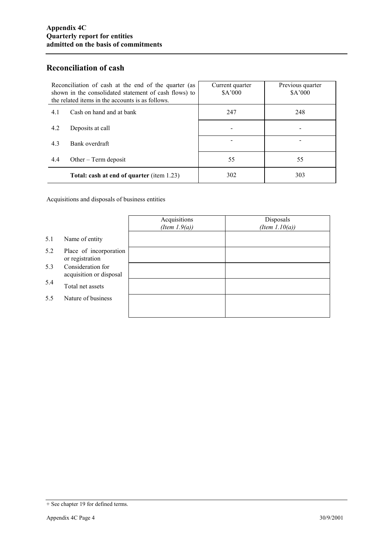## **Reconciliation of cash**

| Reconciliation of cash at the end of the quarter (as<br>shown in the consolidated statement of cash flows) to<br>the related items in the accounts is as follows. | Current quarter<br>\$A'000 | Previous quarter<br>\$A'000 |
|-------------------------------------------------------------------------------------------------------------------------------------------------------------------|----------------------------|-----------------------------|
| Cash on hand and at bank<br>4.1                                                                                                                                   | 247                        | 248                         |
| 4.2<br>Deposits at call                                                                                                                                           |                            |                             |
| 4.3<br>Bank overdraft                                                                                                                                             |                            |                             |
| 4.4<br>Other $-$ Term deposit                                                                                                                                     | 55                         | 55                          |
| Total: cash at end of quarter (item 1.23)                                                                                                                         | 302                        | 303                         |

Acquisitions and disposals of business entities

|     |                                              | Acquisitions<br>(Item $1.9(a)$ ) | Disposals<br>(Item $1.10(a)$ ) |
|-----|----------------------------------------------|----------------------------------|--------------------------------|
| 5.1 | Name of entity                               |                                  |                                |
| 5.2 | Place of incorporation<br>or registration    |                                  |                                |
| 5.3 | Consideration for<br>acquisition or disposal |                                  |                                |
| 5.4 | Total net assets                             |                                  |                                |
| 5.5 | Nature of business                           |                                  |                                |
|     |                                              |                                  |                                |

<sup>+</sup> See chapter 19 for defined terms.